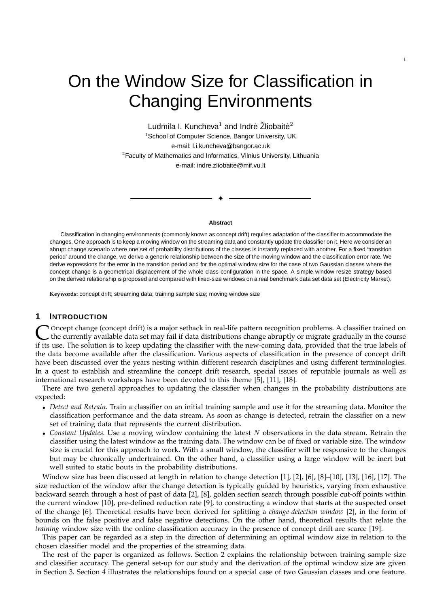# On the Window Size for Classification in Changing Environments

Ludmila I. Kuncheva $^1$  and Indrė Žliobaitė $^2$ <sup>1</sup>School of Computer Science, Bangor University, UK e-mail: l.i.kuncheva@bangor.ac.uk <sup>2</sup>Faculty of Mathematics and Informatics, Vilnius University, Lithuania e-mail: indre.zliobaite@mif.vu.lt

**Abstract**

✦

Classification in changing environments (commonly known as concept drift) requires adaptation of the classifier to accommodate the changes. One approach is to keep a moving window on the streaming data and constantly update the classifier on it. Here we consider an abrupt change scenario where one set of probability distributions of the classes is instantly replaced with another. For a fixed 'transition period' around the change, we derive a generic relationship between the size of the moving window and the classification error rate. We derive expressions for the error in the transition period and for the optimal window size for the case of two Gaussian classes where the concept change is a geometrical displacement of the whole class configuration in the space. A simple window resize strategy based on the derived relationship is proposed and compared with fixed-size windows on a real benchmark data set data set (Electricity Market).

**Keywords:** concept drift; streaming data; training sample size; moving window size

# **1 INTRODUCTION**

C Oncept change (concept drift) is a major setback in real-life pattern recognition problems. A classifier trained on the course of the currently available data set may fail if data distributions change abruptly or migrate Oncept change (concept drift) is a major setback in real-life pattern recognition problems. A classifier trained on the currently available data set may fail if data distributions change abruptly or migrate gradually in the course the data become available after the classification. Various aspects of classification in the presence of concept drift have been discussed over the years nesting within different research disciplines and using different terminologies. In a quest to establish and streamline the concept drift research, special issues of reputable journals as well as international research workshops have been devoted to this theme [5], [11], [18].

There are two general approaches to updating the classifier when changes in the probability distributions are expected:

- *Detect and Retrain.* Train a classifier on an initial training sample and use it for the streaming data. Monitor the classification performance and the data stream. As soon as change is detected, retrain the classifier on a new set of training data that represents the current distribution.
- *Constant Updates.* Use a moving window containing the latest N observations in the data stream. Retrain the classifier using the latest window as the training data. The window can be of fixed or variable size. The window size is crucial for this approach to work. With a small window, the classifier will be responsive to the changes but may be chronically undertrained. On the other hand, a classifier using a large window will be inert but well suited to static bouts in the probability distributions.

Window size has been discussed at length in relation to change detection [1], [2], [6], [8]–[10], [13], [16], [17]. The size reduction of the window after the change detection is typically guided by heuristics, varying from exhaustive backward search through a host of past of data [2], [8], golden section search through possible cut-off points within the current window [10], pre-defined reduction rate [9], to constructing a window that starts at the suspected onset of the change [6]. Theoretical results have been derived for splitting a *change-detection window* [2], in the form of bounds on the false positive and false negative detections. On the other hand, theoretical results that relate the *training* window size with the online classification accuracy in the presence of concept drift are scarce [19].

This paper can be regarded as a step in the direction of determining an optimal window size in relation to the chosen classifier model and the properties of the streaming data.

The rest of the paper is organized as follows. Section 2 explains the relationship between training sample size and classifier accuracy. The general set-up for our study and the derivation of the optimal window size are given in Section 3. Section 4 illustrates the relationships found on a special case of two Gaussian classes and one feature.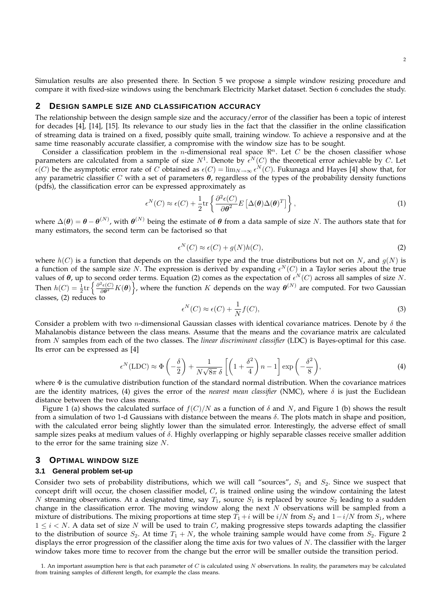Simulation results are also presented there. In Section 5 we propose a simple window resizing procedure and compare it with fixed-size windows using the benchmark Electricity Market dataset. Section 6 concludes the study.

## **2 DESIGN SAMPLE SIZE AND CLASSIFICATION ACCURACY**

The relationship between the design sample size and the accuracy/error of the classifier has been a topic of interest for decades [4], [14], [15]. Its relevance to our study lies in the fact that the classifier in the online classification of streaming data is trained on a fixed, possibly quite small, training window. To achieve a responsive and at the same time reasonably accurate classifier, a compromise with the window size has to be sought.

Consider a classification problem in the *n*-dimensional real space  $\mathbb{R}^n$ . Let C be the chosen classifier whose parameters are calculated from a sample of size  $N^1$ . Denote by  $\epsilon^N(C)$  the theoretical error achievable by C. Let  $\epsilon(C)$  be the asymptotic error rate of  $C$  obtained as  $\epsilon(C) = \lim_{N\to\infty} \epsilon^N(C)$ . Fukunaga and Hayes [4] show that, for any parametric classifier C with a set of parameters  $\theta$ , regardless of the types of the probability density functions (pdfs), the classification error can be expressed approximately as

$$
\epsilon^N(C) \approx \epsilon(C) + \frac{1}{2} \text{tr} \left\{ \frac{\partial^2 \epsilon(C)}{\partial \theta^2} E \left[ \Delta(\theta) \Delta(\theta)^T \right] \right\},\tag{1}
$$

where  $\Delta(\theta) = \theta - \theta^{(N)}$ , with  $\theta^{(N)}$  being the estimate of  $\theta$  from a data sample of size N. The authors state that for many estimators, the second term can be factorised so that

$$
\epsilon^N(C) \approx \epsilon(C) + g(N)h(C),\tag{2}
$$

where  $h(C)$  is a function that depends on the classifier type and the true distributions but not on N, and  $g(N)$  is a function of the sample size N. The expression is derived by expanding  $\epsilon^N(C)$  in a Taylor series about the true values of  $\theta$ , up to second order terms. Equation (2) comes as the expectation of  $\epsilon^N(C)$  across all samples of size N. Then  $h(C) = \frac{1}{2} \text{tr} \left\{ \frac{\partial^2 \epsilon(C)}{\partial \theta^2} K(\theta) \right\}$ , where the function K depends on the way  $\theta^{(N)}$  are computed. For two Gaussian classes, (2) reduces to

$$
\epsilon^N(C) \approx \epsilon(C) + \frac{1}{N} f(C),\tag{3}
$$

Consider a problem with two *n*-dimensional Gaussian classes with identical covariance matrices. Denote by  $\delta$  the Mahalanobis distance between the class means. Assume that the means and the covariance matrix are calculated from N samples from each of the two classes. The *linear discriminant classifier* (LDC) is Bayes-optimal for this case. Its error can be expressed as [4]

$$
\epsilon^N(\text{LDC}) \approx \Phi\left(-\frac{\delta}{2}\right) + \frac{1}{N\sqrt{8\pi} \delta} \left[ \left(1 + \frac{\delta^2}{4}\right)n - 1 \right] \exp\left(-\frac{\delta^2}{8}\right),\tag{4}
$$

where  $\Phi$  is the cumulative distribution function of the standard normal distribution. When the covariance matrices are the identity matrices, (4) gives the error of the *nearest mean classifier* (NMC), where  $\delta$  is just the Euclidean distance between the two class means.

Figure 1 (a) shows the calculated surface of  $f(C)/N$  as a function of  $\delta$  and N, and Figure 1 (b) shows the result from a simulation of two 1-d Gaussians with distance between the means  $\delta$ . The plots match in shape and position, with the calculated error being slightly lower than the simulated error. Interestingly, the adverse effect of small sample sizes peaks at medium values of  $\delta$ . Highly overlapping or highly separable classes receive smaller addition to the error for the same training size N.

## **3 OPTIMAL WINDOW SIZE**

#### **3.1 General problem set-up**

Consider two sets of probability distributions, which we will call "sources",  $S_1$  and  $S_2$ . Since we suspect that concept drift will occur, the chosen classifier model,  $C$ , is trained online using the window containing the latest N streaming observations. At a designated time, say  $T_1$ , source  $S_1$  is replaced by source  $S_2$  leading to a sudden change in the classification error. The moving window along the next  $N$  observations will be sampled from a mixture of distributions. The mixing proportions at time step  $T_1 + i$  will be  $i/N$  from  $S_2$  and  $1-i/N$  from  $S_1$ , where  $1 \le i \le N$ . A data set of size N will be used to train C, making progressive steps towards adapting the classifier to the distribution of source  $S_2$ . At time  $T_1 + N$ , the whole training sample would have come from  $S_2$ . Figure 2 displays the error progression of the classifier along the time axis for two values of N. The classifier with the larger window takes more time to recover from the change but the error will be smaller outside the transition period.

<sup>1.</sup> An important assumption here is that each parameter of  $C$  is calculated using  $N$  observations. In reality, the parameters may be calculated from training samples of different length, for example the class means.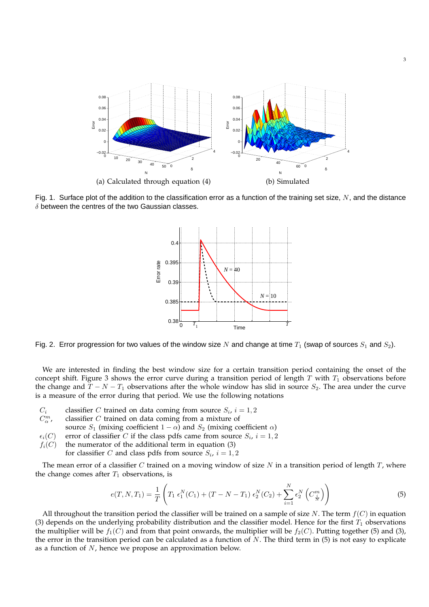

Fig. 1. Surface plot of the addition to the classification error as a function of the training set size,  $N$ , and the distance  $\delta$  between the centres of the two Gaussian classes.



Fig. 2. Error progression for two values of the window size N and change at time  $T_1$  (swap of sources  $S_1$  and  $S_2$ ).

We are interested in finding the best window size for a certain transition period containing the onset of the concept shift. Figure 3 shows the error curve during a transition period of length  $T$  with  $T_1$  observations before the change and  $T - N - T_1$  observations after the whole window has slid in source  $S_2$ . The area under the curve is a measure of the error during that period. We use the following notations

- $C_i$  classifier C trained on data coming from source  $S_i$ ,  $i = 1, 2$
- $C^m_\alpha$ classifier  $C$  trained on data coming from a mixture of
- source  $S_1$  (mixing coefficient  $1 \alpha$ ) and  $S_2$  (mixing coefficient  $\alpha$ )
- $\epsilon_i(C)$  error of classifier C if the class pdfs came from source  $S_i$ ,  $i = 1, 2$
- $f_i(C)$  the numerator of the additional term in equation (3)
	- for classifier C and class pdfs from source  $S_i$ ,  $i = 1, 2$

The mean error of a classifier C trained on a moving window of size N in a transition period of length  $T$ , where the change comes after  $T_1$  observations, is

$$
e(T, N, T_1) = \frac{1}{T} \left( T_1 \epsilon_1^N(C_1) + (T - N - T_1) \epsilon_2^N(C_2) + \sum_{i=1}^N \epsilon_2^N \left( C_{\frac{i}{N}}^m \right) \right)
$$
(5)

All throughout the transition period the classifier will be trained on a sample of size N. The term  $f(C)$  in equation (3) depends on the underlying probability distribution and the classifier model. Hence for the first  $T_1$  observations the multiplier will be  $f_1(C)$  and from that point onwards, the multiplier will be  $f_2(C)$ . Putting together (5) and (3), the error in the transition period can be calculated as a function of  $N$ . The third term in  $(5)$  is not easy to explicate as a function of  $N$ , hence we propose an approximation below.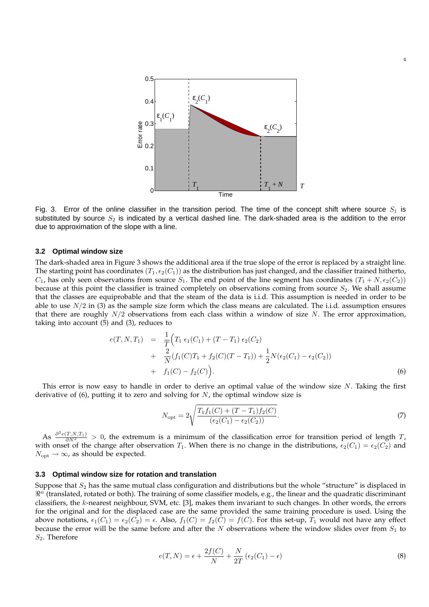

Fig. 3. Error of the online classifier in the transition period. The time of the concept shift where source  $S_1$  is substituted by source  $S_2$  is indicated by a vertical dashed line. The dark-shaded area is the addition to the error due to approximation of the slope with a line.

### **3.2 Optimal window size**

The dark-shaded area in Figure 3 shows the additional area if the true slope of the error is replaced by a straight line. The starting point has coordinates  $(T_1, \epsilon_2(C_1))$  as the distribution has just changed, and the classifier trained hitherto,  $C_1$ , has only seen observations from source  $S_1$ . The end point of the line segment has coordinates  $(T_1 + N, \epsilon_2(C_2))$ because at this point the classifier is trained completely on observations coming from source  $S_2$ . We shall assume that the classes are equiprobable and that the steam of the data is i.i.d. This assumption is needed in order to be able to use  $N/2$  in (3) as the sample size form which the class means are calculated. The i.i.d. assumption ensures that there are roughly  $N/2$  observations from each class within a window of size N. The error approximation, taking into account (5) and (3), reduces to

$$
e(T, N, T_1) = \frac{1}{T} \Big( T_1 \epsilon_1(C_1) + (T - T_1) \epsilon_2(C_2) + \frac{2}{N} (f_1(C)T_1 + f_2(C)(T - T_1)) + \frac{1}{2} N (\epsilon_2(C_1) - \epsilon_2(C_2)) + f_1(C) - f_2(C) \Big).
$$
\n(6)

This error is now easy to handle in order to derive an optimal value of the window size N. Taking the first derivative of  $(6)$ , putting it to zero and solving for  $N$ , the optimal window size is

$$
N_{\rm opt} = 2\sqrt{\frac{T_1 f_1(C) + (T - T_1)f_2(C)}{(\epsilon_2(C_1) - \epsilon_2(C_2))}}.
$$
\n(7)

4

As  $\frac{\partial^2 e(T, N, T_1)}{\partial N^2} > 0$ , the extremum is a minimum of the classification error for transition period of length T, with onset of the change after observation  $T_1$ . When there is no change in the distributions,  $\epsilon_2(C_1) = \epsilon_2(C_2)$  and  $N_{\text{opt}} \rightarrow \infty$ , as should be expected.

## **3.3 Optimal window size for rotation and translation**

Suppose that  $S_2$  has the same mutual class configuration and distributions but the whole "structure" is displaced in  $\Re^n$  (translated, rotated or both). The training of some classifier models, e.g., the linear and the quadratic discriminant classifiers, the k-nearest neighbour, SVM, etc. [3], makes them invariant to such changes. In other words, the errors for the original and for the displaced case are the same provided the same training procedure is used. Using the above notations,  $\epsilon_1(C_1) = \epsilon_2(C_2) = \epsilon$ . Also,  $f_1(C) = f_2(C) = f(C)$ . For this set-up,  $T_1$  would not have any effect because the error will be the same before and after the  $N$  observations where the window slides over from  $S_1$  to  $S_2$ . Therefore

$$
e(T, N) = \epsilon + \frac{2f(C)}{N} + \frac{N}{2T} \left( \epsilon_2(C_1) - \epsilon \right)
$$
\n(8)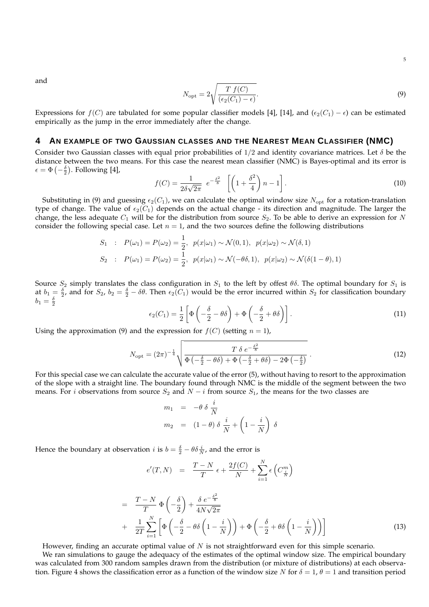and

$$
N_{\rm opt} = 2\sqrt{\frac{T f(C)}{(\epsilon_2(C_1) - \epsilon)}}.
$$
\n(9)

Expressions for  $f(C)$  are tabulated for some popular classifier models [4], [14], and ( $\epsilon_2(C_1) - \epsilon$ ) can be estimated empirically as the jump in the error immediately after the change.

# **4 AN EXAMPLE OF TWO GAUSSIAN CLASSES AND THE NEAREST MEAN CLASSIFIER (NMC)**

Consider two Gaussian classes with equal prior probabilities of  $1/2$  and identity covariance matrices. Let  $\delta$  be the distance between the two means. For this case the nearest mean classifier (NMC) is Bayes-optimal and its error is  $\epsilon = \Phi\left(-\frac{\delta}{2}\right)$ . Following [4],

$$
f(C) = \frac{1}{2\delta\sqrt{2\pi}} e^{-\frac{\delta^2}{8}} \left[ \left( 1 + \frac{\delta^2}{4} \right) n - 1 \right].
$$
 (10)

Substituting in (9) and guessing  $\epsilon_2(C_1)$ , we can calculate the optimal window size  $N_{\rm opt}$  for a rotation-translation type of change. The value of  $\epsilon_2(C_1)$  depends on the actual change - its direction and magnitude. The larger the change, the less adequate  $C_1$  will be for the distribution from source  $S_2$ . To be able to derive an expression for N consider the following special case. Let  $n = 1$ , and the two sources define the following distributions

$$
S_1 : P(\omega_1) = P(\omega_2) = \frac{1}{2}, \ p(x|\omega_1) \sim \mathcal{N}(0, 1), \ p(x|\omega_2) \sim \mathcal{N}(\delta, 1)
$$
  

$$
S_2 : P(\omega_1) = P(\omega_2) = \frac{1}{2}, \ p(x|\omega_1) \sim \mathcal{N}(-\theta\delta, 1), \ p(x|\omega_2) \sim \mathcal{N}(\delta(1-\theta), 1)
$$

Source  $S_2$  simply translates the class configuration in  $S_1$  to the left by offest  $\theta\delta$ . The optimal boundary for  $S_1$  is at  $b_1 = \frac{\delta}{2}$ , and for  $S_2$ ,  $b_2 = \frac{\delta}{2} - \delta\theta$ . Then  $\epsilon_2(C_1)$  would be the error incurred within  $S_2$  for classification boundary  $b_1=\frac{\delta}{2}$ 

$$
\epsilon_2(C_1) = \frac{1}{2} \left[ \Phi \left( -\frac{\delta}{2} - \theta \delta \right) + \Phi \left( -\frac{\delta}{2} + \theta \delta \right) \right]. \tag{11}
$$

Using the approximation (9) and the expression for  $f(C)$  (setting  $n = 1$ ),

$$
N_{\rm opt} = (2\pi)^{-\frac{1}{4}} \sqrt{\frac{T \delta e^{-\frac{\delta^2}{8}}}{\Phi\left(-\frac{\delta}{2} - \theta\delta\right) + \Phi\left(-\frac{\delta}{2} + \theta\delta\right) - 2\Phi\left(-\frac{\delta}{2}\right)}}.
$$
\n(12)

For this special case we can calculate the accurate value of the error (5), without having to resort to the approximation of the slope with a straight line. The boundary found through NMC is the middle of the segment between the two means. For i observations from source  $S_2$  and  $N - i$  from source  $S_1$ , the means for the two classes are

$$
m_1 = -\theta \delta \frac{i}{N}
$$
  

$$
m_2 = (1 - \theta) \delta \frac{i}{N} + \left(1 - \frac{i}{N}\right) \delta
$$

Hence the boundary at observation *i* is  $b = \frac{\delta}{2} - \theta \delta \frac{i}{N}$ , and the error is

$$
e'(T, N) = \frac{T - N}{T} \epsilon + \frac{2f(C)}{N} + \sum_{i=1}^{N} \epsilon \left( C_{\frac{i}{N}}^{m} \right)
$$

$$
= \frac{T-N}{T} \Phi\left(-\frac{\delta}{2}\right) + \frac{\delta e^{-\frac{\delta^2}{8}}}{4N\sqrt{2\pi}} + \frac{1}{2T} \sum_{i=1}^N \left[ \Phi\left(-\frac{\delta}{2} - \theta \delta\left(1 - \frac{i}{N}\right)\right) + \Phi\left(-\frac{\delta}{2} + \theta \delta\left(1 - \frac{i}{N}\right)\right) \right]
$$
(13)

However, finding an accurate optimal value of  $N$  is not straightforward even for this simple scenario.

We ran simulations to gauge the adequacy of the estimates of the optimal window size. The empirical boundary was calculated from 300 random samples drawn from the distribution (or mixture of distributions) at each observation. Figure 4 shows the classification error as a function of the window size N for  $\delta = 1$ ,  $\theta = 1$  and transition period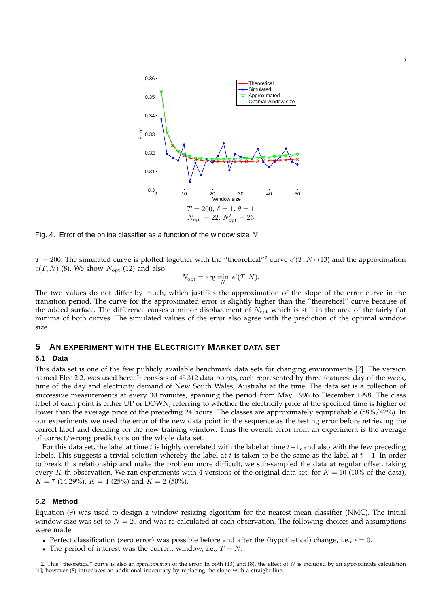

6

Fig. 4. Error of the online classifier as a function of the window size  $N$ 

 $T = 200$ . The simulated curve is plotted together with the "theoretical"<sup>2</sup> curve  $e'(T, N)$  (13) and the approximation  $e(T, N)$  (8). We show  $N_{\text{opt}}$  (12) and also

$$
N'_{\text{opt}} = \arg\min_{N} \ e'(T, N).
$$

The two values do not differ by much, which justifies the approximation of the slope of the error curve in the transition period. The curve for the approximated error is slightly higher than the "theoretical" curve because of the added surface. The difference causes a minor displacement of  $N_{\text{opt}}$  which is still in the area of the fairly flat minima of both curves. The simulated values of the error also agree with the prediction of the optimal window size.

# **5 AN EXPERIMENT WITH THE ELECTRICITY MARKET DATA SET**

## **5.1 Data**

This data set is one of the few publicly available benchmark data sets for changing environments [7]. The version named Elec 2.2. was used here. It consists of 45 312 data points, each represented by three features: day of the week, time of the day and electricity demand of New South Wales, Australia at the time. The data set is a collection of successive measurements at every 30 minutes, spanning the period from May 1996 to December 1998. The class label of each point is either UP or DOWN, referring to whether the electricity price at the specified time is higher or lower than the average price of the preceding 24 hours. The classes are approximately equiprobable (58%/42%). In our experiments we used the error of the new data point in the sequence as the testing error before retrieving the correct label and deciding on the new training window. Thus the overall error from an experiment is the average of correct/wrong predictions on the whole data set.

For this data set, the label at time t is highly correlated with the label at time  $t-1$ , and also with the few preceding labels. This suggests a trivial solution whereby the label at t is taken to be the same as the label at  $t - 1$ . In order to break this relationship and make the problem more difficult, we sub-sampled the data at regular offset, taking every K-th observation. We ran experiments with 4 versions of the original data set: for  $K = 10$  (10% of the data),  $K = 7$  (14.29%),  $K = 4$  (25%) and  $K = 2$  (50%).

## **5.2 Method**

Equation (9) was used to design a window resizing algorithm for the nearest mean classifier (NMC). The initial window size was set to  $N = 20$  and was re-calculated at each observation. The following choices and assumptions were made:

- Perfect classification (zero error) was possible before and after the (hypothetical) change, i.e.,  $\epsilon = 0$ .
- The period of interest was the current window, i.e.,  $T = N$ .

2. This "theoretical" curve is also an *approximation* of the error. In both (13) and (8), the effect of N is included by an approximate calculation [4]; however (8) introduces an additional inaccuracy by replacing the slope with a straight line.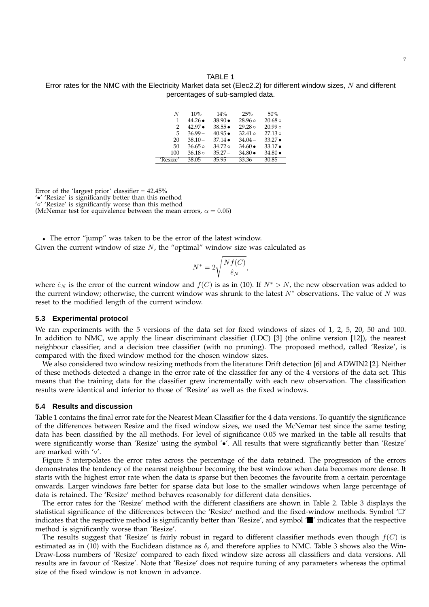#### TABLE 1

Error rates for the NMC with the Electricity Market data set (Elec2.2) for different window sizes, N and different percentages of sub-sampled data.

| N        | 10%             | 14%             | 25%             | 50%             |
|----------|-----------------|-----------------|-----------------|-----------------|
| 1        | $44.26 \bullet$ | $38.90 \bullet$ | $28.96 \circ$   | $20.68 \circ$   |
| 2        | $42.97 \bullet$ | $38.55 \bullet$ | $29.28 \circ$   | $20.99 \circ$   |
| 5        | $36.99 -$       | $40.95 \bullet$ | $32.41 \circ$   | $27.13 \circ$   |
| 20       | $38.10 -$       | $37.14 \bullet$ | $34.04 -$       | $33.27 \bullet$ |
| 50       | $36.65 \circ$   | $34.72 \circ$   | $34.60 \bullet$ | $33.17 \bullet$ |
| 100      | $36.18 \circ$   | $35.27 -$       | $34.80 \bullet$ | $34.80 \bullet$ |
| 'Resize' | 38.05           | 35.95           | 33.36           | 30.85           |

Error of the 'largest prior' classifier = 42.45% '•' 'Resize' is significantly better than this method '◦' 'Resize' is significantly worse than this method (McNemar test for equivalence between the mean errors,  $\alpha = 0.05$ )

• The error "jump" was taken to be the error of the latest window. Given the current window of size  $N$ , the "optimal" window size was calculated as

$$
N^* = 2\sqrt{\frac{Nf(C)}{\hat{e}_N}},
$$

where  $\hat{e}_N$  is the error of the current window and  $f(C)$  is as in (10). If  $N^* > N$ , the new observation was added to the current window; otherwise, the current window was shrunk to the latest  $N^*$  observations. The value of N was reset to the modified length of the current window.

## **5.3 Experimental protocol**

We ran experiments with the 5 versions of the data set for fixed windows of sizes of 1, 2, 5, 20, 50 and 100. In addition to NMC, we apply the linear discriminant classifier (LDC) [3] (the online version [12]), the nearest neighbour classifier, and a decision tree classifier (with no pruning). The proposed method, called 'Resize', is compared with the fixed window method for the chosen window sizes.

We also considered two window resizing methods from the literature: Drift detection [6] and ADWIN2 [2]. Neither of these methods detected a change in the error rate of the classifier for any of the 4 versions of the data set. This means that the training data for the classifier grew incrementally with each new observation. The classification results were identical and inferior to those of 'Resize' as well as the fixed windows.

## **5.4 Results and discussion**

Table 1 contains the final error rate for the Nearest Mean Classifier for the 4 data versions. To quantify the significance of the differences between Resize and the fixed window sizes, we used the McNemar test since the same testing data has been classified by the all methods. For level of significance 0.05 we marked in the table all results that were significantly worse than 'Resize' using the symbol '•'. All results that were significantly better than 'Resize' are marked with '◦'.

Figure 5 interpolates the error rates across the percentage of the data retained. The progression of the errors demonstrates the tendency of the nearest neighbour becoming the best window when data becomes more dense. It starts with the highest error rate when the data is sparse but then becomes the favourite from a certain percentage onwards. Larger windows fare better for sparse data but lose to the smaller windows when large percentage of data is retained. The 'Resize' method behaves reasonably for different data densities.

The error rates for the 'Resize' method with the different classifiers are shown in Table 2. Table 3 displays the statistical significance of the differences between the 'Resize' method and the fixed-window methods. Symbol ' $\Box'$ indicates that the respective method is significantly better than 'Resize', and symbol ' $\blacksquare$ ' indicates that the respective method is significantly worse than 'Resize'.

The results suggest that 'Resize' is fairly robust in regard to different classifier methods even though  $f(C)$  is estimated as in (10) with the Euclidean distance as  $\delta$ , and therefore applies to NMC. Table 3 shows also the Win-Draw-Loss numbers of 'Resize' compared to each fixed window size across all classifiers and data versions. All results are in favour of 'Resize'. Note that 'Resize' does not require tuning of any parameters whereas the optimal size of the fixed window is not known in advance.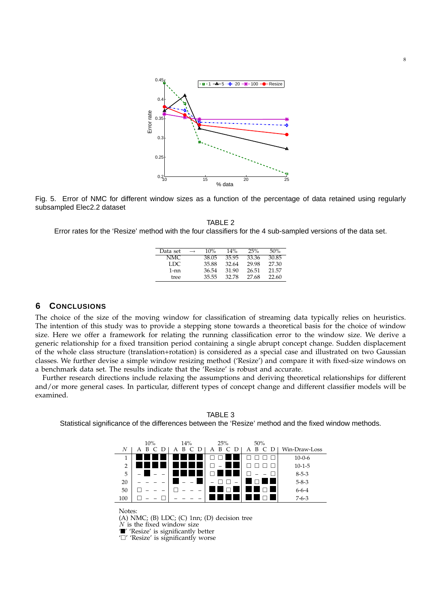

Fig. 5. Error of NMC for different window sizes as a function of the percentage of data retained using regularly subsampled Elec2.2 dataset

TABLE 2 Error rates for the 'Resize' method with the four classifiers for the 4 sub-sampled versions of the data set.

| Data set | $\longrightarrow$ | 10%   | 14%   | 25%   | 50%   |
|----------|-------------------|-------|-------|-------|-------|
| NMC.     |                   | 38.05 | 35.95 | 33.36 | 30.85 |
| LDC.     |                   | 35.88 | 32.64 | 29.98 | 27.30 |
| 1-nn     |                   | 36.54 | 31.90 | 26.51 | 21.57 |
| tree     |                   | 35.55 | 32.78 | 27.68 | 22.60 |

# **6 CONCLUSIONS**

The choice of the size of the moving window for classification of streaming data typically relies on heuristics. The intention of this study was to provide a stepping stone towards a theoretical basis for the choice of window size. Here we offer a framework for relating the running classification error to the window size. We derive a generic relationship for a fixed transition period containing a single abrupt concept change. Sudden displacement of the whole class structure (translation+rotation) is considered as a special case and illustrated on two Gaussian classes. We further devise a simple window resizing method ('Resize') and compare it with fixed-size windows on a benchmark data set. The results indicate that the 'Resize' is robust and accurate.

Further research directions include relaxing the assumptions and deriving theoretical relationships for different and/or more general cases. In particular, different types of concept change and different classifier models will be examined.

TABLE 3 Statistical significance of the differences between the 'Resize' method and the fixed window methods.

|                | 10%                                                                                                                                                                      | 14%    | 25%    | 50%              |               |  |  |  |  |
|----------------|--------------------------------------------------------------------------------------------------------------------------------------------------------------------------|--------|--------|------------------|---------------|--|--|--|--|
| N              | R<br>А<br>Ð                                                                                                                                                              | В<br>A | в<br>A | В<br>C<br>A<br>Ð | Win-Draw-Loss |  |  |  |  |
| 1              |                                                                                                                                                                          |        |        |                  | $10 - 0 - 6$  |  |  |  |  |
| $\overline{2}$ |                                                                                                                                                                          |        |        |                  | $10 - 1 - 5$  |  |  |  |  |
| 5              |                                                                                                                                                                          |        |        |                  | $8 - 5 - 3$   |  |  |  |  |
| 20             |                                                                                                                                                                          |        |        |                  | $5 - 8 - 3$   |  |  |  |  |
| 50             |                                                                                                                                                                          |        |        |                  | $6 - 6 - 4$   |  |  |  |  |
| 100            |                                                                                                                                                                          |        |        |                  | $7 - 6 - 3$   |  |  |  |  |
|                | Notes:<br>(A) NMC; (B) LDC; (C) $1nn$ ; (D) decision tree<br>$N$ is the fixed window size<br>"Yesize' is significantly better<br>$\Box'$ 'Resize' is significantly worse |        |        |                  |               |  |  |  |  |